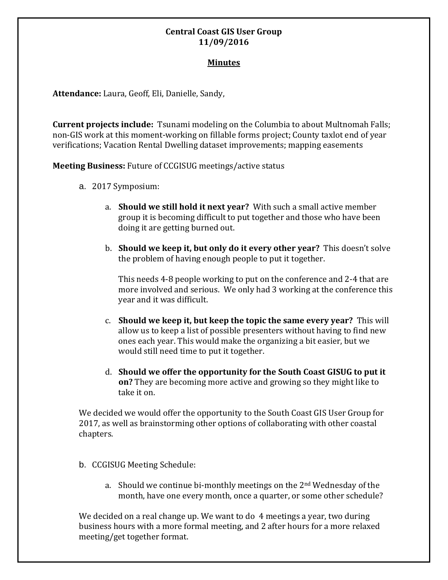# **Central Coast GIS User Group 11/09/2016**

### **Minutes**

**Attendance:** Laura, Geoff, Eli, Danielle, Sandy,

**Current projects include:** Tsunami modeling on the Columbia to about Multnomah Falls; non-GIS work at this moment-working on fillable forms project; County taxlot end of year verifications; Vacation Rental Dwelling dataset improvements; mapping easements

**Meeting Business:** Future of CCGISUG meetings/active status

- a. 2017 Symposium:
	- a. **Should we still hold it next year?** With such a small active member group it is becoming difficult to put together and those who have been doing it are getting burned out.
	- b. **Should we keep it, but only do it every other year?** This doesn't solve the problem of having enough people to put it together.

This needs 4-8 people working to put on the conference and 2-4 that are more involved and serious. We only had 3 working at the conference this year and it was difficult.

- c. **Should we keep it, but keep the topic the same every year?** This will allow us to keep a list of possible presenters without having to find new ones each year. This would make the organizing a bit easier, but we would still need time to put it together.
- d. **Should we offer the opportunity for the South Coast GISUG to put it on?** They are becoming more active and growing so they might like to take it on.

We decided we would offer the opportunity to the South Coast GIS User Group for 2017, as well as brainstorming other options of collaborating with other coastal chapters.

- b. CCGISUG Meeting Schedule:
	- a. Should we continue bi-monthly meetings on the 2nd Wednesday of the month, have one every month, once a quarter, or some other schedule?

We decided on a real change up. We want to do 4 meetings a year, two during business hours with a more formal meeting, and 2 after hours for a more relaxed meeting/get together format.